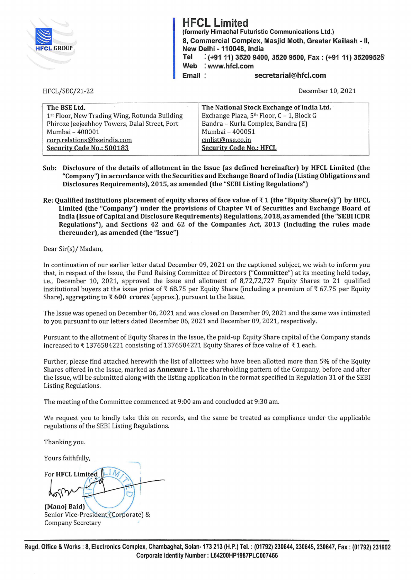

**HFCL Limited**  (formerly Himachal Futuristic Communications Ltd.) 8, Commercial Complex, Masjid Moth, Greater Kailash - II, New Delhi - **110048,** India **Tel** : **(+91 11) 3520 9400, 3520 9500, Fax: (+91 11) 35209525 Web** : **www.hfcl.com Email: Secretarial@hfcl.com** 

HFCL/SEC/21-22

December 10, 2021

| The National Stock Exchange of India Ltd. |  |
|-------------------------------------------|--|
| Exchange Plaza, 5th Floor, C - 1, Block G |  |
| Bandra - Kurla Complex, Bandra (E)        |  |
| Mumbai - 400051                           |  |
| cmlist@nse.co.in                          |  |
| <b>Security Code No.: HFCL</b>            |  |
|                                           |  |

- **Sub: Disclosure of the details of allotment in the Issue (as defined hereinafter) by HFCL Limited (the "Company") in accordance with the Securities and Exchange Board of India (Listing Obligations and Disclosures Requirements), 2015, as amended (the "SEBI Listing Regulations")**
- **Re: Qualified institutions placement of equity shares of face value of 'f 1 (the "Equity Share(s)") by HFCL Limited (the "Company") under the provisions of Chapter VI of Securities and Exchange Board of India (Issue of Capital and Disclosure Requirements) Regulations, 2018, as amended (the "SEBI ICDR Regulations"), and Sections 42 and 62 of the Companies Act, 2013 (including the rules made thereunder), as amended (the "Issue")**

Dear Sir(s)/ Madam,

In continuation of our earlier letter dated December 09, 2021 on the captioned subject, we wish to inform you that, in respect of the Issue, the Fund Raising Committee of Directors **("Committee")** at its meeting held today, i.e., December 10, 2021, approved the issue and allotment of 8,72,72,727 Equity Shares to 21 qualified institutional buyers at the issue price of  $\bar{\tau}$  68.75 per Equity Share (including a premium of  $\bar{\tau}$  67.75 per Equity Share), aggregating to **'f 600 crores** (approx.), pursuant to the Issue.

The Issue was opened on December 06, 2021 and was closed on December 09, 2021 and the same was intimated to you pursuant to our letters dated December 06, 2021 and December 09, 2021, respectively.

Pursuant to the allotment of Equity Shares in the Issue, the paid-up Equity Share capital of the Company stands increased to  $\bar{\tau}$  1376584221 consisting of 1376584221 Equity Shares of face value of  $\bar{\tau}$  1 each.

Further, please find attached herewith the list of allottees who have been allotted more than 5% of the Equity Shares offered in the Issue, marked as **Annexure 1.** The shareholding pattern of the Company, before and after the Issue, will be submitted along with the listing application in the format specified in Regulation 31 of the SEBI Listing Regulations.

The meeting of the Committee commenced at 9:00 am and concluded at 9:30 am.

We request you to kindly take this on records, and the same be treated as compliance under the applicable regulations of the SEBI Listing Regulations.

Thanking you.

Yours faithfully,

**For HFCL Limited** poljen **(Manoj Baid)** 

Senior Vice-President (Corporate) & Company Secretary